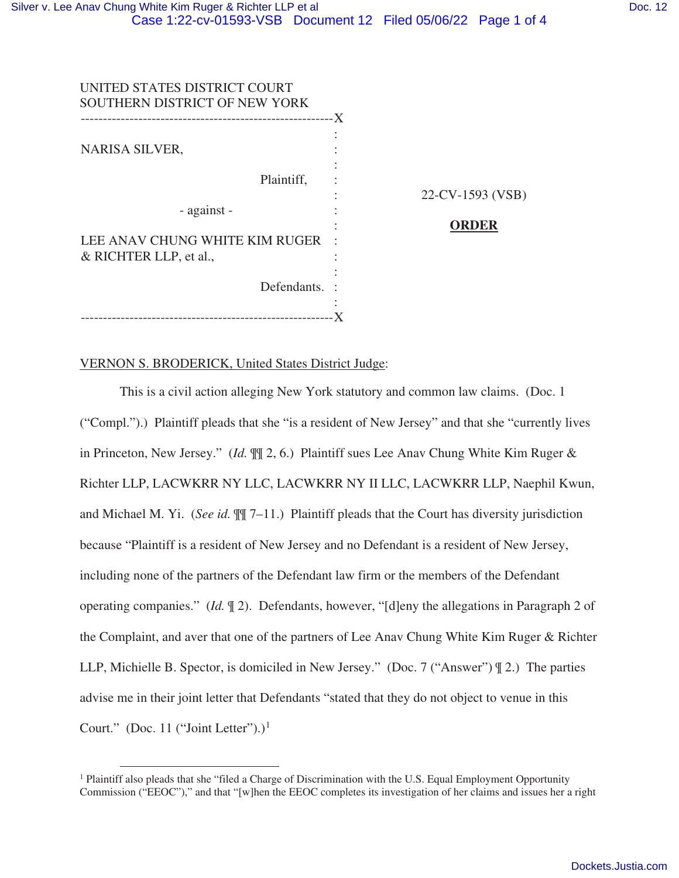| UNITED STATES DISTRICT COURT<br>SOUTHERN DISTRICT OF NEW YORK |                  |
|---------------------------------------------------------------|------------------|
| NARISA SILVER,                                                | -X               |
| Plaintiff,                                                    | 22-CV-1593 (VSB) |
| - against -                                                   | ORDER            |
| LEE ANAV CHUNG WHITE KIM RUGER<br>& RICHTER LLP, et al.,      |                  |
| Defendants.                                                   |                  |
| ---------------------------                                   |                  |

## VERNON S. BRODERICK, United States District Judge:

This is a civil action alleging New York statutory and common law claims. (Doc. 1 ("Compl.").) Plaintiff pleads that she "is a resident of New Jersey" and that she "currently lives in Princeton, New Jersey." (*Id.* ¶¶ 2, 6.) Plaintiff sues Lee Anav Chung White Kim Ruger & Richter LLP, LACWKRR NY LLC, LACWKRR NY II LLC, LACWKRR LLP, Naephil Kwun, and Michael M. Yi. (*See id.* ¶¶ 7–11.) Plaintiff pleads that the Court has diversity jurisdiction because "Plaintiff is a resident of New Jersey and no Defendant is a resident of New Jersey, including none of the partners of the Defendant law firm or the members of the Defendant operating companies." (*Id.* ¶ 2). Defendants, however, "[d]eny the allegations in Paragraph 2 of the Complaint, and aver that one of the partners of Lee Anav Chung White Kim Ruger & Richter LLP, Michielle B. Spector, is domiciled in New Jersey." (Doc. 7 ("Answer") ¶ 2.) The parties advise me in their joint letter that Defendants "stated that they do not object to venue in this Court." (Doc. 11 ("Joint Letter").)<sup>1</sup>

<sup>&</sup>lt;sup>1</sup> Plaintiff also pleads that she "filed a Charge of Discrimination with the U.S. Equal Employment Opportunity Commission ("EEOC")," and that "[w]hen the EEOC completes its investigation of her claims and issues her a right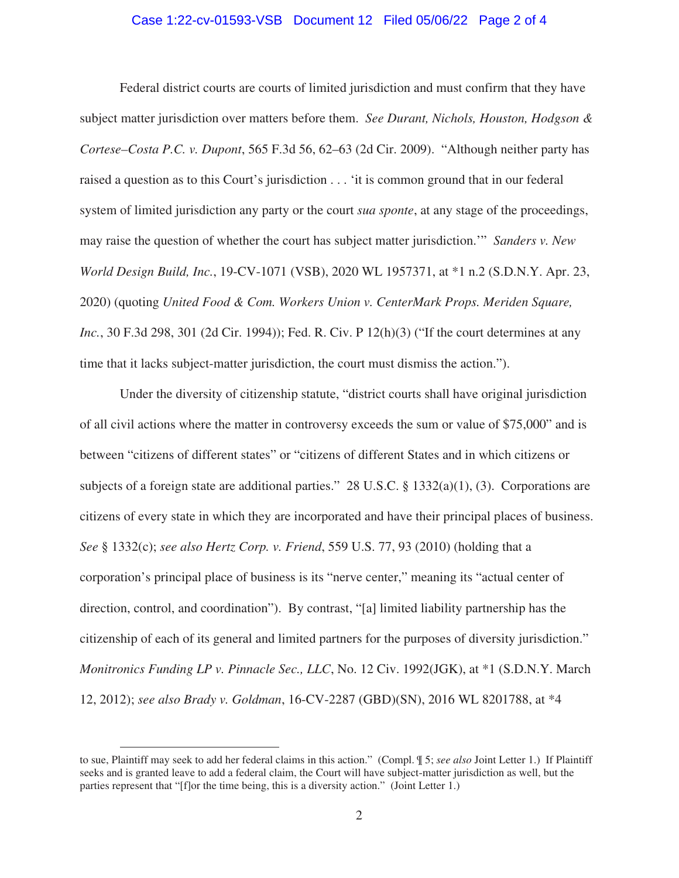## Case 1:22-cv-01593-VSB Document 12 Filed 05/06/22 Page 2 of 4

Federal district courts are courts of limited jurisdiction and must confirm that they have subject matter jurisdiction over matters before them. *See Durant, Nichols, Houston, Hodgson & Cortese–Costa P.C. v. Dupont*, 565 F.3d 56, 62–63 (2d Cir. 2009). "Although neither party has raised a question as to this Court's jurisdiction . . . 'it is common ground that in our federal system of limited jurisdiction any party or the court *sua sponte*, at any stage of the proceedings, may raise the question of whether the court has subject matter jurisdiction.'" *Sanders v. New World Design Build, Inc.*, 19-CV-1071 (VSB), 2020 WL 1957371, at \*1 n.2 (S.D.N.Y. Apr. 23, 2020) (quoting *United Food & Com. Workers Union v. CenterMark Props. Meriden Square, Inc.*, 30 F.3d 298, 301 (2d Cir. 1994)); Fed. R. Civ. P 12(h)(3) ("If the court determines at any time that it lacks subject-matter jurisdiction, the court must dismiss the action.").

Under the diversity of citizenship statute, "district courts shall have original jurisdiction of all civil actions where the matter in controversy exceeds the sum or value of \$75,000" and is between "citizens of different states" or "citizens of different States and in which citizens or subjects of a foreign state are additional parties." 28 U.S.C. § 1332(a)(1), (3). Corporations are citizens of every state in which they are incorporated and have their principal places of business. *See* § 1332(c); *see also Hertz Corp. v. Friend*, 559 U.S. 77, 93 (2010) (holding that a corporation's principal place of business is its "nerve center," meaning its "actual center of direction, control, and coordination"). By contrast, "[a] limited liability partnership has the citizenship of each of its general and limited partners for the purposes of diversity jurisdiction." *Monitronics Funding LP v. Pinnacle Sec., LLC*, No. 12 Civ. 1992(JGK), at \*1 (S.D.N.Y. March 12, 2012); *see also Brady v. Goldman*, 16-CV-2287 (GBD)(SN), 2016 WL 8201788, at \*4

to sue, Plaintiff may seek to add her federal claims in this action." (Compl. ¶ 5; *see also* Joint Letter 1.) If Plaintiff seeks and is granted leave to add a federal claim, the Court will have subject-matter jurisdiction as well, but the parties represent that "[f]or the time being, this is a diversity action." (Joint Letter 1.)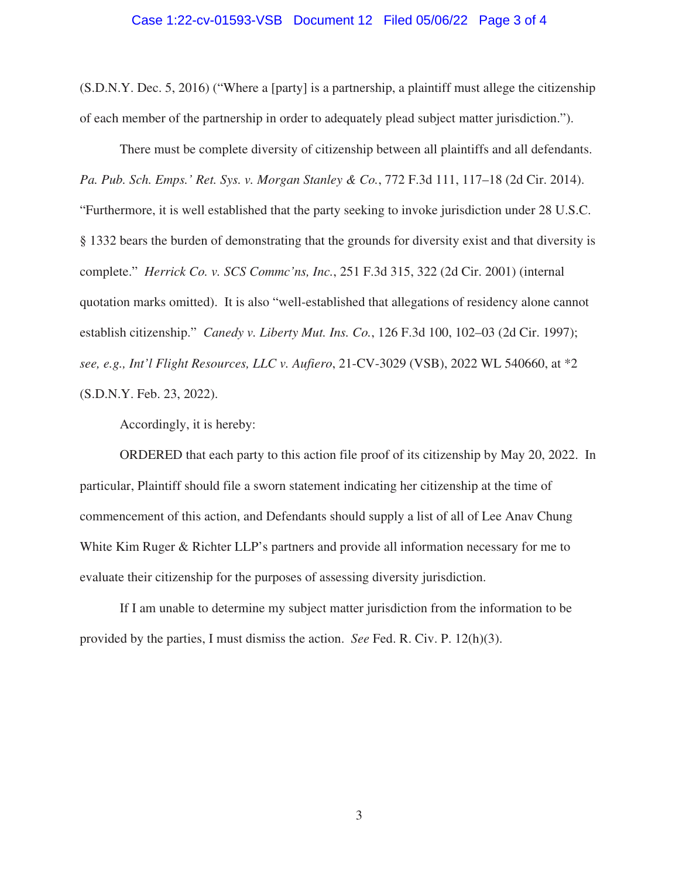## Case 1:22-cv-01593-VSB Document 12 Filed 05/06/22 Page 3 of 4

(S.D.N.Y. Dec. 5, 2016) ("Where a [party] is a partnership, a plaintiff must allege the citizenship of each member of the partnership in order to adequately plead subject matter jurisdiction.").

There must be complete diversity of citizenship between all plaintiffs and all defendants. *Pa. Pub. Sch. Emps.' Ret. Sys. v. Morgan Stanley & Co.*, 772 F.3d 111, 117–18 (2d Cir. 2014). "Furthermore, it is well established that the party seeking to invoke jurisdiction under 28 U.S.C. § 1332 bears the burden of demonstrating that the grounds for diversity exist and that diversity is complete." *Herrick Co. v. SCS Commc'ns, Inc.*, 251 F.3d 315, 322 (2d Cir. 2001) (internal quotation marks omitted). It is also "well-established that allegations of residency alone cannot establish citizenship." *Canedy v. Liberty Mut. Ins. Co.*, 126 F.3d 100, 102–03 (2d Cir. 1997); *see, e.g., Int'l Flight Resources, LLC v. Aufiero*, 21-CV-3029 (VSB), 2022 WL 540660, at \*2 (S.D.N.Y. Feb. 23, 2022).

Accordingly, it is hereby:

ORDERED that each party to this action file proof of its citizenship by May 20, 2022. In particular, Plaintiff should file a sworn statement indicating her citizenship at the time of commencement of this action, and Defendants should supply a list of all of Lee Anav Chung White Kim Ruger & Richter LLP's partners and provide all information necessary for me to evaluate their citizenship for the purposes of assessing diversity jurisdiction.

If I am unable to determine my subject matter jurisdiction from the information to be provided by the parties, I must dismiss the action. *See* Fed. R. Civ. P. 12(h)(3).